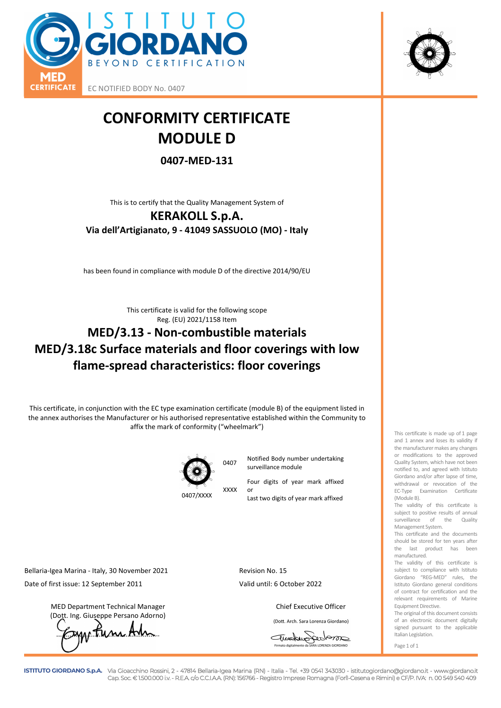

EC NOTIFIED BODY No. 0407

## **CONFORMITY CERTIFICATE MODULE D**

## **0407-MED-131**

This is to certify that the Quality Management System of

## **KERAKOLL S.p.A. Via dell'Artigianato, 9 - 41049 SASSUOLO (MO) - Italy**

has been found in compliance with module D of the directive 2014/90/EU

This certificate is valid for the following scope Reg. (EU) 2021/1158 Item

## **MED/3.13 - Non-combustible materials MED/3.18c Surface materials and floor coverings with low flame-spread characteristics: floor coverings**

This certificate, in conjunction with the EC type examination certificate (module B) of the equipment listed in the annex authorises the Manufacturer or his authorised representative established within the Community to affix the mark of conformity ("wheelmark")



XXXX

<sup>0407</sup>Notified Body number undertaking surveillance module

> Four digits of year mark affixed or

Last two digits of year mark affixed

Bellaria-Igea Marina - Italy, 30 November 2021 Revision No. 15 Date of first issue: 12 September 2011 Valid until: 6 October 2022

MED Department Technical Manager Chief Executive Officer (Dott. Ing. Giuseppe Persano Adorno)

*C*ump Tune Am

(Dott. Arch. Sara Lorenza Giordano)

Traduppedom Firmato digitalmente da SARA LORENZA GIORDANO



The validity of this certificate is subject to positive results of annual surveillance of the Quality Management System.

This certificate and the documents should be stored for ten years after the last product has been manufactured.

The validity of this certificate is subject to compliance with Istituto Giordano "REG-MED" rules, the Istituto Giordano general conditions of contract for certification and the relevant requirements of Marine Equipment Directive.

The original of this document consists of an electronic document digitally signed pursuant to the applicable Italian Legislation.

Page 1 of 1



**ISTITUTO GIORDANO S.p.A.** Via Gioacchino Rossini, 2 - 47814 Bellaria-Igea Marina (RN) - Italia - Tel. +39 0541 343030 - istitutogiordano@giordano.it - www.giordano.it Cap. Soc. € 1.500.000 i.v. - R.E.A. c/o C.C.I.A.A. (RN): 156766 - Registro Imprese Romagna (Forlì-Cesena e Rimini) e CF/P. IVA: n. 00 549 540 409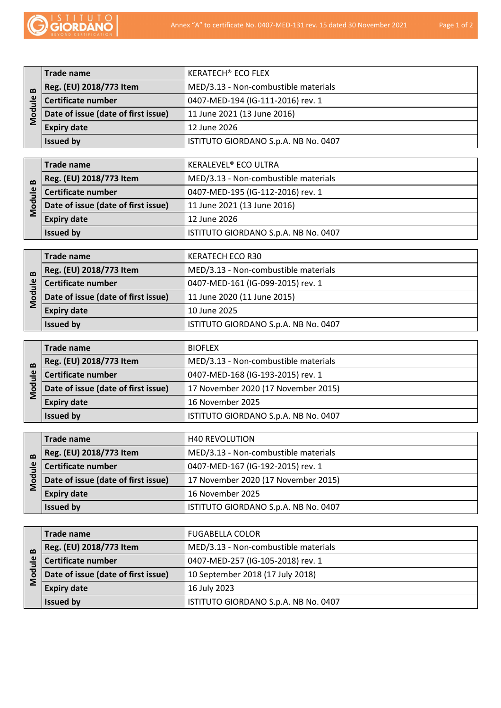

| $\mathbf{\Omega}$<br>$\mathbf{\underline{\omega}}$<br>ह | Trade name                          | <b>KERATECH<sup>®</sup> ECO FLEX</b> |
|---------------------------------------------------------|-------------------------------------|--------------------------------------|
|                                                         | Reg. (EU) 2018/773 Item             | MED/3.13 - Non-combustible materials |
|                                                         | Certificate number                  | 0407-MED-194 (IG-111-2016) rev. 1    |
|                                                         | Date of issue (date of first issue) | 11 June 2021 (13 June 2016)          |
|                                                         | <b>Expiry date</b>                  | 12 June 2026                         |
|                                                         | <b>Issued by</b>                    | ISTITUTO GIORDANO S.p.A. NB No. 0407 |

| $\mathbf{a}$ | Trade name                          | <b>KERALEVEL<sup>®</sup> ECO ULTRA</b> |
|--------------|-------------------------------------|----------------------------------------|
|              | Reg. (EU) 2018/773 Item             | MED/3.13 - Non-combustible materials   |
| ≗            | Certificate number                  | 0407-MED-195 (IG-112-2016) rev. 1      |
| ъ<br>ŏ       | Date of issue (date of first issue) | 11 June 2021 (13 June 2016)            |
|              | <b>Expiry date</b>                  | 12 June 2026                           |
|              | <b>Issued by</b>                    | ISTITUTO GIORDANO S.p.A. NB No. 0407   |

| $\mathbf{\Omega}$<br>Õ | Trade name                          | KERATECH ECO R30                     |
|------------------------|-------------------------------------|--------------------------------------|
|                        | Reg. (EU) 2018/773 Item             | MED/3.13 - Non-combustible materials |
|                        | Certificate number                  | 0407-MED-161 (IG-099-2015) rev. 1    |
|                        | Date of issue (date of first issue) | 11 June 2020 (11 June 2015)          |
|                        | <b>Expiry date</b>                  | 10 June 2025                         |
|                        | <b>Issued by</b>                    | ISTITUTO GIORDANO S.p.A. NB No. 0407 |

| $\mathbf{\Omega}$<br>Õ | Trade name                          | <b>BIOFLEX</b>                       |
|------------------------|-------------------------------------|--------------------------------------|
|                        | Reg. (EU) 2018/773 Item             | MED/3.13 - Non-combustible materials |
|                        | Certificate number                  | 0407-MED-168 (IG-193-2015) rev. 1    |
|                        | Date of issue (date of first issue) | 17 November 2020 (17 November 2015)  |
|                        | <b>Expiry date</b>                  | 16 November 2025                     |
|                        | <b>Issued by</b>                    | ISTITUTO GIORDANO S.p.A. NB No. 0407 |

| ≗<br>ŏ | Trade name                          | <b>H40 REVOLUTION</b>                |
|--------|-------------------------------------|--------------------------------------|
|        | Reg. (EU) 2018/773 Item             | MED/3.13 - Non-combustible materials |
|        | Certificate number                  | 0407-MED-167 (IG-192-2015) rev. 1    |
|        | Date of issue (date of first issue) | 17 November 2020 (17 November 2015)  |
|        | <b>Expiry date</b>                  | 16 November 2025                     |
|        | <b>Issued by</b>                    | ISTITUTO GIORDANO S.p.A. NB No. 0407 |

| ≗<br>$\circ$ | Trade name                          | <b>FUGABELLA COLOR</b>               |
|--------------|-------------------------------------|--------------------------------------|
|              | Reg. (EU) 2018/773 Item             | MED/3.13 - Non-combustible materials |
|              | Certificate number                  | 0407-MED-257 (IG-105-2018) rev. 1    |
|              | Date of issue (date of first issue) | 10 September 2018 (17 July 2018)     |
|              | <b>Expiry date</b>                  | 16 July 2023                         |
|              | <b>Issued by</b>                    | ISTITUTO GIORDANO S.p.A. NB No. 0407 |